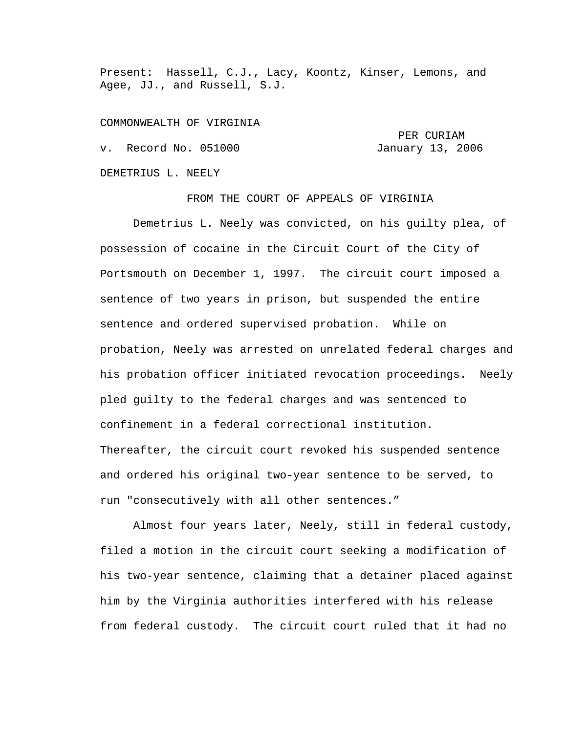Present: Hassell, C.J., Lacy, Koontz, Kinser, Lemons, and Agee, JJ., and Russell, S.J.

COMMONWEALTH OF VIRGINIA

 PER CURIAM v. Record No. 051000 January 13, 2006 DEMETRIUS L. NEELY

FROM THE COURT OF APPEALS OF VIRGINIA

 Demetrius L. Neely was convicted, on his guilty plea, of possession of cocaine in the Circuit Court of the City of Portsmouth on December 1, 1997. The circuit court imposed a sentence of two years in prison, but suspended the entire sentence and ordered supervised probation. While on probation, Neely was arrested on unrelated federal charges and his probation officer initiated revocation proceedings. Neely pled guilty to the federal charges and was sentenced to confinement in a federal correctional institution. Thereafter, the circuit court revoked his suspended sentence and ordered his original two-year sentence to be served, to run "consecutively with all other sentences."

 Almost four years later, Neely, still in federal custody, filed a motion in the circuit court seeking a modification of his two-year sentence, claiming that a detainer placed against him by the Virginia authorities interfered with his release from federal custody. The circuit court ruled that it had no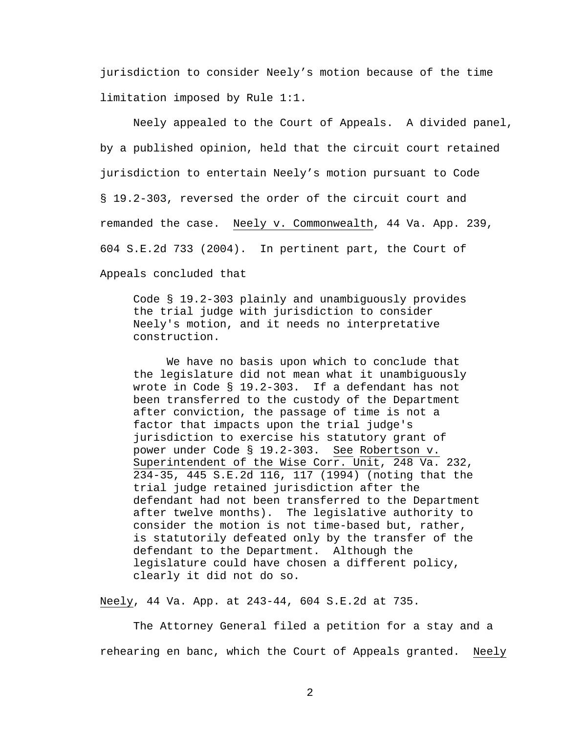jurisdiction to consider Neely's motion because of the time limitation imposed by Rule 1:1.

 Neely appealed to the Court of Appeals. A divided panel, by a published opinion, held that the circuit court retained jurisdiction to entertain Neely's motion pursuant to Code § 19.2-303, reversed the order of the circuit court and remanded the case. Neely v. Commonwealth, 44 Va. App. 239, 604 S.E.2d 733 (2004). In pertinent part, the Court of Appeals concluded that

Code § 19.2-303 plainly and unambiguously provides the trial judge with jurisdiction to consider Neely's motion, and it needs no interpretative construction.

 We have no basis upon which to conclude that the legislature did not mean what it unambiguously wrote in Code § 19.2-303. If a defendant has not been transferred to the custody of the Department after conviction, the passage of time is not a factor that impacts upon the trial judge's jurisdiction to exercise his statutory grant of power under Code § 19.2-303. See Robertson v. Superintendent of the Wise Corr. Unit, 248 Va. 232, 234-35, 445 S.E.2d 116, 117 (1994) (noting that the trial judge retained jurisdiction after the defendant had not been transferred to the Department after twelve months). The legislative authority to consider the motion is not time-based but, rather, is statutorily defeated only by the transfer of the defendant to the Department. Although the legislature could have chosen a different policy, clearly it did not do so.

Neely, 44 Va. App. at 243-44, 604 S.E.2d at 735.

 The Attorney General filed a petition for a stay and a rehearing en banc, which the Court of Appeals granted. Neely

2